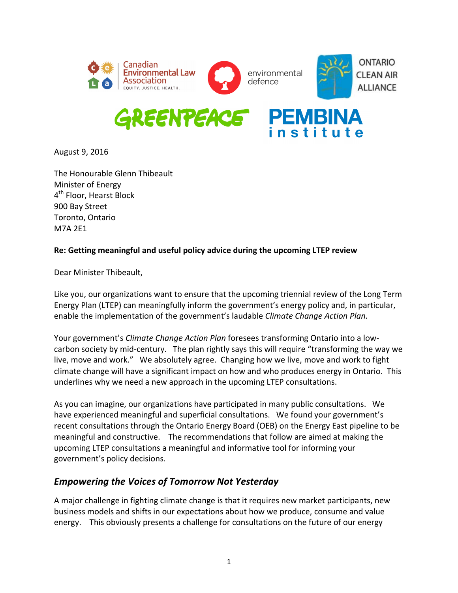

August 9, 2016

The Honourable Glenn Thibeault Minister of Energy 4<sup>th</sup> Floor, Hearst Block 900 Bay Street Toronto, Ontario M7A 2E1

### **Re: Getting meaningful and useful policy advice during the upcoming LTEP review**

Dear Minister Thibeault,

Like you, our organizations want to ensure that the upcoming triennial review of the Long Term Energy Plan (LTEP) can meaningfully inform the government's energy policy and, in particular, enable the implementation of the government's laudable *Climate Change Action Plan.* 

Your government's *Climate Change Action Plan* foresees transforming Ontario into a lowcarbon society by mid-century. The plan rightly says this will require "transforming the way we live, move and work." We absolutely agree. Changing how we live, move and work to fight climate change will have a significant impact on how and who produces energy in Ontario. This underlines why we need a new approach in the upcoming LTEP consultations.

As you can imagine, our organizations have participated in many public consultations. We have experienced meaningful and superficial consultations. We found your government's recent consultations through the Ontario Energy Board (OEB) on the Energy East pipeline to be meaningful and constructive. The recommendations that follow are aimed at making the upcoming LTEP consultations a meaningful and informative tool for informing your government's policy decisions.

## *Empowering the Voices of Tomorrow Not Yesterday*

A major challenge in fighting climate change is that it requires new market participants, new business models and shifts in our expectations about how we produce, consume and value energy. This obviously presents a challenge for consultations on the future of our energy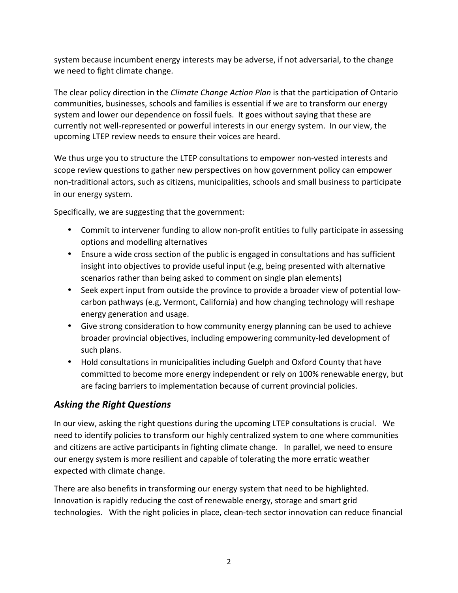system because incumbent energy interests may be adverse, if not adversarial, to the change we need to fight climate change.

The clear policy direction in the *Climate Change Action Plan* is that the participation of Ontario communities, businesses, schools and families is essential if we are to transform our energy system and lower our dependence on fossil fuels. It goes without saying that these are currently not well-represented or powerful interests in our energy system. In our view, the upcoming LTEP review needs to ensure their voices are heard.

We thus urge you to structure the LTEP consultations to empower non-vested interests and scope review questions to gather new perspectives on how government policy can empower non-traditional actors, such as citizens, municipalities, schools and small business to participate in our energy system.

Specifically, we are suggesting that the government:

- Commit to intervener funding to allow non-profit entities to fully participate in assessing options and modelling alternatives
- Ensure a wide cross section of the public is engaged in consultations and has sufficient insight into objectives to provide useful input (e.g, being presented with alternative scenarios rather than being asked to comment on single plan elements)
- Seek expert input from outside the province to provide a broader view of potential lowcarbon pathways (e.g, Vermont, California) and how changing technology will reshape energy generation and usage.
- Give strong consideration to how community energy planning can be used to achieve broader provincial objectives, including empowering community-led development of such plans.
- Hold consultations in municipalities including Guelph and Oxford County that have committed to become more energy independent or rely on 100% renewable energy, but are facing barriers to implementation because of current provincial policies.

# Asking the Right Questions

In our view, asking the right questions during the upcoming LTEP consultations is crucial. We need to identify policies to transform our highly centralized system to one where communities and citizens are active participants in fighting climate change. In parallel, we need to ensure our energy system is more resilient and capable of tolerating the more erratic weather expected with climate change.

There are also benefits in transforming our energy system that need to be highlighted. Innovation is rapidly reducing the cost of renewable energy, storage and smart grid technologies. With the right policies in place, clean-tech sector innovation can reduce financial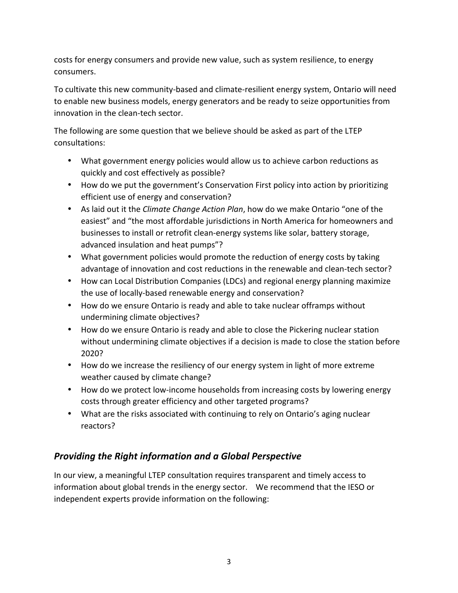costs for energy consumers and provide new value, such as system resilience, to energy consumers. 

To cultivate this new community-based and climate-resilient energy system, Ontario will need to enable new business models, energy generators and be ready to seize opportunities from innovation in the clean-tech sector.

The following are some question that we believe should be asked as part of the LTEP consultations:

- What government energy policies would allow us to achieve carbon reductions as quickly and cost effectively as possible?
- How do we put the government's Conservation First policy into action by prioritizing efficient use of energy and conservation?
- As laid out it the *Climate Change Action Plan*, how do we make Ontario "one of the easiest" and "the most affordable jurisdictions in North America for homeowners and businesses to install or retrofit clean-energy systems like solar, battery storage, advanced insulation and heat pumps"?
- What government policies would promote the reduction of energy costs by taking advantage of innovation and cost reductions in the renewable and clean-tech sector?
- How can Local Distribution Companies (LDCs) and regional energy planning maximize the use of locally-based renewable energy and conservation?
- How do we ensure Ontario is ready and able to take nuclear offramps without undermining climate objectives?
- How do we ensure Ontario is ready and able to close the Pickering nuclear station without undermining climate objectives if a decision is made to close the station before 2020?
- How do we increase the resiliency of our energy system in light of more extreme weather caused by climate change?
- How do we protect low-income households from increasing costs by lowering energy costs through greater efficiency and other targeted programs?
- What are the risks associated with continuing to rely on Ontario's aging nuclear reactors?

# **Providing the Right information and a Global Perspective**

In our view, a meaningful LTEP consultation requires transparent and timely access to information about global trends in the energy sector. We recommend that the IESO or independent experts provide information on the following: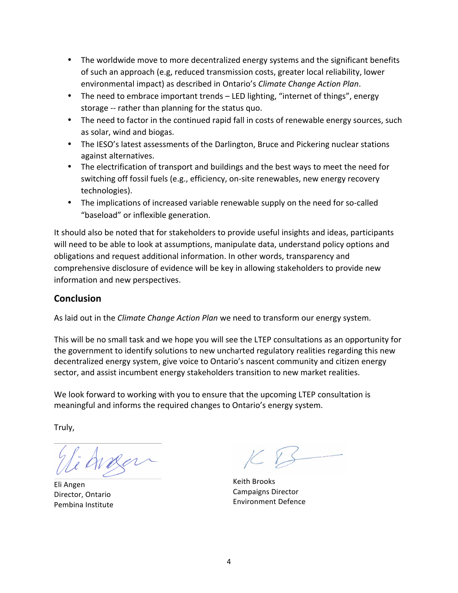- The worldwide move to more decentralized energy systems and the significant benefits of such an approach (e.g, reduced transmission costs, greater local reliability, lower environmental impact) as described in Ontario's *Climate Change Action Plan*.
- The need to embrace important trends LED lighting, "internet of things", energy storage -- rather than planning for the status quo.
- The need to factor in the continued rapid fall in costs of renewable energy sources, such as solar, wind and biogas.
- The IESO's latest assessments of the Darlington, Bruce and Pickering nuclear stations against alternatives.
- The electrification of transport and buildings and the best ways to meet the need for switching off fossil fuels (e.g., efficiency, on-site renewables, new energy recovery technologies).
- The implications of increased variable renewable supply on the need for so-called "baseload" or inflexible generation.

It should also be noted that for stakeholders to provide useful insights and ideas, participants will need to be able to look at assumptions, manipulate data, understand policy options and obligations and request additional information. In other words, transparency and comprehensive disclosure of evidence will be key in allowing stakeholders to provide new information and new perspectives.

## **Conclusion**

As laid out in the *Climate Change Action Plan* we need to transform our energy system.

This will be no small task and we hope you will see the LTEP consultations as an opportunity for the government to identify solutions to new uncharted regulatory realities regarding this new decentralized energy system, give voice to Ontario's nascent community and citizen energy sector, and assist incumbent energy stakeholders transition to new market realities.

We look forward to working with you to ensure that the upcoming LTEP consultation is meaningful and informs the required changes to Ontario's energy system.

Truly,

Eli Angen Director, Ontario Pembina Institute 

Keith Brooks Campaigns Director Environment Defence